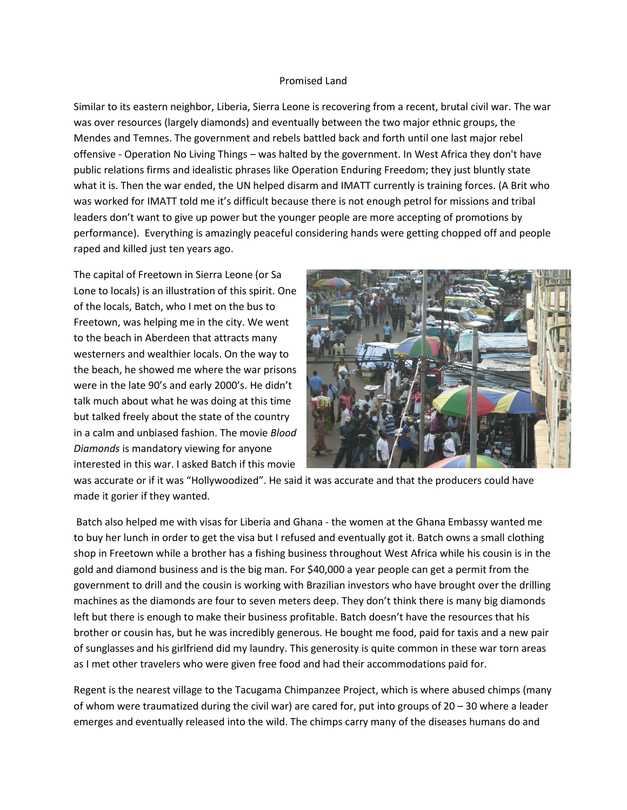## Promised Land

Similar to its eastern neighbor, Liberia, Sierra Leone is recovering from a recent, brutal civil war. The war was over resources (largely diamonds) and eventually between the two major ethnic groups, the Mendes and Temnes. The government and rebels battled back and forth until one last major rebel offensive - Operation No Living Things – was halted by the government. In West Africa they don't have public relations firms and idealistic phrases like Operation Enduring Freedom; they just bluntly state what it is. Then the war ended, the UN helped disarm and IMATT currently is training forces. (A Brit who was worked for IMATT told me it's difficult because there is not enough petrol for missions and tribal leaders don't want to give up power but the younger people are more accepting of promotions by performance). Everything is amazingly peaceful considering hands were getting chopped off and people raped and killed just ten years ago.

The capital of Freetown in Sierra Leone (or Sa Lone to locals) is an illustration of this spirit. One of the locals, Batch, who I met on the bus to Freetown, was helping me in the city. We went to the beach in Aberdeen that attracts many westerners and wealthier locals. On the way to the beach, he showed me where the war prisons were in the late 90's and early 2000's. He didn't talk much about what he was doing at this time but talked freely about the state of the country in a calm and unbiased fashion. The movie *Blood Diamonds* is mandatory viewing for anyone interested in this war. I asked Batch if this movie



was accurate or if it was "Hollywoodized". He said it was accurate and that the producers could have made it gorier if they wanted.

Batch also helped me with visas for Liberia and Ghana - the women at the Ghana Embassy wanted me to buy her lunch in order to get the visa but I refused and eventually got it. Batch owns a small clothing shop in Freetown while a brother has a fishing business throughout West Africa while his cousin is in the gold and diamond business and is the big man. For \$40,000 a year people can get a permit from the government to drill and the cousin is working with Brazilian investors who have brought over the drilling machines as the diamonds are four to seven meters deep. They don't think there is many big diamonds left but there is enough to make their business profitable. Batch doesn't have the resources that his brother or cousin has, but he was incredibly generous. He bought me food, paid for taxis and a new pair of sunglasses and his girlfriend did my laundry. This generosity is quite common in these war torn areas as I met other travelers who were given free food and had their accommodations paid for.

Regent is the nearest village to the Tacugama Chimpanzee Project, which is where abused chimps (many of whom were traumatized during the civil war) are cared for, put into groups of 20 – 30 where a leader emerges and eventually released into the wild. The chimps carry many of the diseases humans do and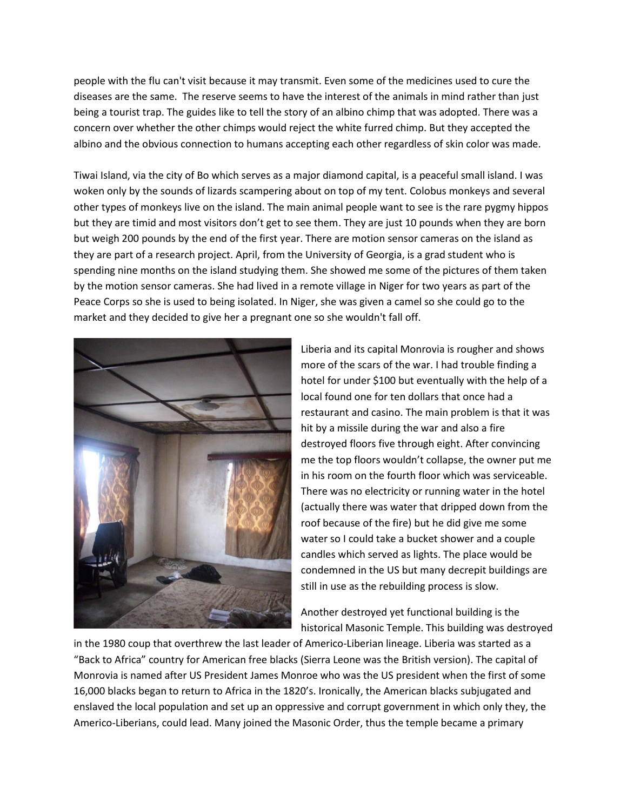people with the flu can't visit because it may transmit. Even some of the medicines used to cure the diseases are the same. The reserve seems to have the interest of the animals in mind rather than just being a tourist trap. The guides like to tell the story of an albino chimp that was adopted. There was a concern over whether the other chimps would reject the white furred chimp. But they accepted the albino and the obvious connection to humans accepting each other regardless of skin color was made.

Tiwai Island, via the city of Bo which serves as a major diamond capital, is a peaceful small island. I was woken only by the sounds of lizards scampering about on top of my tent. Colobus monkeys and several other types of monkeys live on the island. The main animal people want to see is the rare pygmy hippos but they are timid and most visitors don't get to see them. They are just 10 pounds when they are born but weigh 200 pounds by the end of the first year. There are motion sensor cameras on the island as they are part of a research project. April, from the University of Georgia, is a grad student who is spending nine months on the island studying them. She showed me some of the pictures of them taken by the motion sensor cameras. She had lived in a remote village in Niger for two years as part of the Peace Corps so she is used to being isolated. In Niger, she was given a camel so she could go to the market and they decided to give her a pregnant one so she wouldn't fall off.



Liberia and its capital Monrovia is rougher and shows more of the scars of the war. I had trouble finding a hotel for under \$100 but eventually with the help of a local found one for ten dollars that once had a restaurant and casino. The main problem is that it was hit by a missile during the war and also a fire destroyed floors five through eight. After convincing me the top floors wouldn't collapse, the owner put me in his room on the fourth floor which was serviceable. There was no electricity or running water in the hotel (actually there was water that dripped down from the roof because of the fire) but he did give me some water so I could take a bucket shower and a couple candles which served as lights. The place would be condemned in the US but many decrepit buildings are still in use as the rebuilding process is slow.

Another destroyed yet functional building is the historical Masonic Temple. This building was destroyed

in the 1980 coup that overthrew the last leader of Americo-Liberian lineage. Liberia was started as a "Back to Africa" country for American free blacks (Sierra Leone was the British version). The capital of Monrovia is named after US President James Monroe who was the US president when the first of some 16,000 blacks began to return to Africa in the 1820's. Ironically, the American blacks subjugated and enslaved the local population and set up an oppressive and corrupt government in which only they, the Americo-Liberians, could lead. Many joined the Masonic Order, thus the temple became a primary